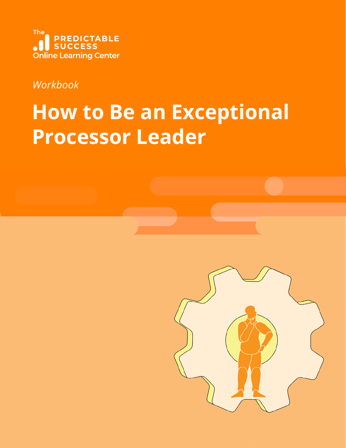

### *Workbook*

# **How to Be an Exceptional Processor Leader**

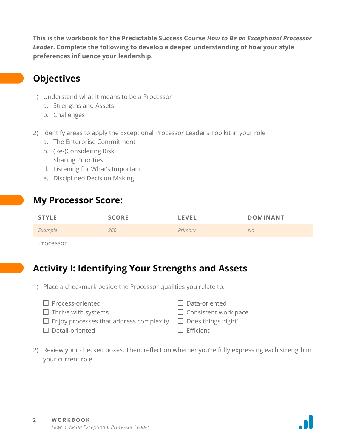**This is the workbook for the Predictable Success Course** *How to Be an Exceptional Processor Leader***. Complete the following to develop a deeper understanding of how your style preferences influence your leadership.** 

#### **Objectives**

- 1) Understand what it means to be a Processor
	- a. Strengths and Assets
	- b. Challenges
- 2) Identify areas to apply the Exceptional Processor Leader's Toolkit in your role
	- a. The Enterprise Commitment
	- b. (Re-)Considering Risk
	- c. Sharing Priorities
	- d. Listening for What's Important
	- e. Disciplined Decision Making

#### **My Processor Score:**

| <b>STYLE</b> | <b>SCORE</b> | <b>LEVEL</b> | <b>DOMINANT</b> |
|--------------|--------------|--------------|-----------------|
| Example      | 360          | Primary      | <b>No</b>       |
| Processor    |              |              |                 |

#### **Activity I: Identifying Your Strengths and Assets**

- 1) Place a checkmark beside the Processor qualities you relate to.
	- $\Box$  Process-oriented  $\Box$  Thrive with systems  $\Box$  Enjoy processes that address complexity Detail-oriented Data-oriented  $\Box$  Consistent work pace  $\Box$  Does things 'right'  $\Box$  Efficient
- 2) Review your checked boxes. Then, reflect on whether you're fully expressing each strength in your current role.

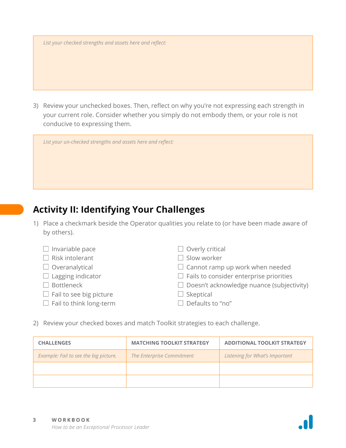*List your checked strengths and assets here and reflect:* 

3) Review your unchecked boxes. Then, reflect on why you're not expressing each strength in your current role. Consider whether you simply do not embody them, or your role is not conducive to expressing them.

|  | List your un-checked strengths and assets here and reflect: |  |  |  |
|--|-------------------------------------------------------------|--|--|--|
|  |                                                             |  |  |  |

### **Activity II: Identifying Your Challenges**

1) Place a checkmark beside the Operator qualities you relate to (or have been made aware of by others).

| $\Box$ Invariable pace         | $\Box$ Overly critical                           |
|--------------------------------|--------------------------------------------------|
| $\Box$ Risk intolerant         | $\Box$ Slow worker                               |
| $\Box$ Overanalytical          | $\Box$ Cannot ramp up work when needed           |
| $\Box$ Lagging indicator       | $\Box$ Fails to consider enterprise priorities   |
| $\Box$ Bottleneck              | $\Box$ Doesn't acknowledge nuance (subjectivity) |
| $\Box$ Fail to see big picture | $\Box$ Skeptical                                 |
| $\Box$ Fail to think long-term | $\Box$ Defaults to "no"                          |
|                                |                                                  |

2) Review your checked boxes and match Toolkit strategies to each challenge.

| <b>CHALLENGES</b>                     | <b>MATCHING TOOLKIT STRATEGY</b> | <b>ADDITIONAL TOOLKIT STRATEGY</b> |
|---------------------------------------|----------------------------------|------------------------------------|
| Example: Fail to see the big picture. | The Enterprise Commitment        | Listening for What's Important     |
|                                       |                                  |                                    |
|                                       |                                  |                                    |

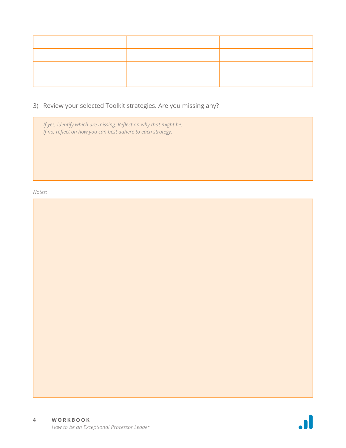3) Review your selected Toolkit strategies. Are you missing any?

*If yes, identify which are missing. Reflect on why that might be. If no, reflect on how you can best adhere to each strategy.*

#### *Notes:*